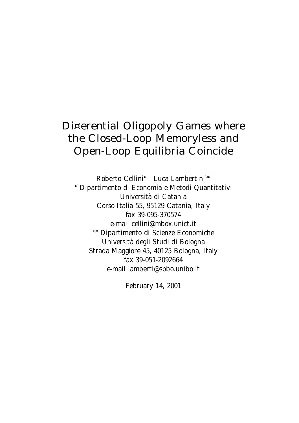# Di¤erential Oligopoly Games where the Closed-Loop Memoryless and Open-Loop Equilibria Coincide

Roberto Cellini<sup>¤</sup> - Luca Lambertini<sup>¤¤</sup> ¤ Dipartimento di Economia e Metodi Quantitativi Università di Catania Corso Italia 55, 95129 Catania, Italy fax 39-095-370574 e-mail cellini@mbox.unict.it ¤¤ Dipartimento di Scienze Economiche Università degli Studi di Bologna Strada Maggiore 45, 40125 Bologna, Italy fax 39-051-2092664 e-mail lamberti@spbo.unibo.it

February 14, 2001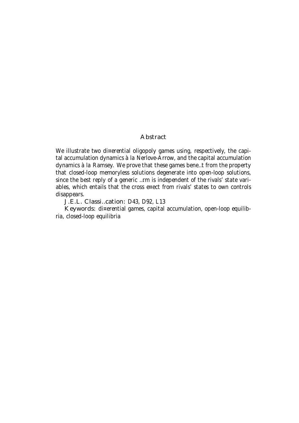#### **Abstract**

We illustrate two di¤erential oligopoly games using, respectively, the capital accumulation dynamics à la Nerlove-Arrow, and the capital accumulation dynamics à la Ramsey. We prove that these games bene…t from the property that closed-loop memoryless solutions degenerate into open-loop solutions, since the best reply of a generic …rm is independent of the rivals' state variables, which entails that the cross e¤ect from rivals' states to own controls disappears.

J.E.L. Classi…cation: D43, D92, L13

Keywords: di¤erential games, capital accumulation, open-loop equilibria, closed-loop equilibria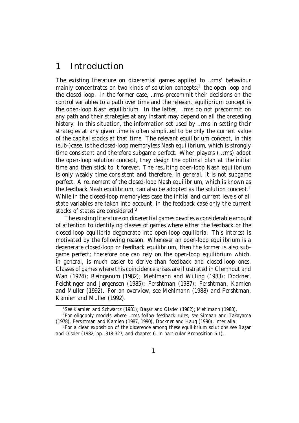# 1 Introduction

The existing literature on di¤erential games applied to …rms' behaviour mainly concentrates on two kinds of solution concepts: 1 the-open loop and the closed-loop. In the former case, …rms precommit their decisions on the control variables to a path over time and the relevant equilibrium concept is the open-loop Nash equilibrium. In the latter, …rms do not precommit on any path and their strategies at any instant may depend on all the preceding history. In this situation, the information set used by …rms in setting their strategies at any given time is often simpli…ed to be only the current value of the capital stocks at that time. The relevant equilibrium concept, in this (sub-)case, is the closed-loop memoryless Nash equilibrium, which is strongly time consistent and therefore subgame perfect. When players (…rms) adopt the open-loop solution concept, they design the optimal plan at the initial time and then stick to it forever. The resulting open-loop Nash equilibrium is only weakly time consistent and therefore, in general, it is not subgame perfect. A re…nement of the closed-loop Nash equilibrium, which is known as the feedback Nash equilibrium, can also be adopted as the solution concept.<sup>2</sup> While in the closed-loop memoryless case the initial and current levels of all state variables are taken into account, in the feedback case only the current stocks of states are considered.<sup>3</sup>

The existing literature on di¤erential games devotes a considerable amount of attention to identifying classes of games where either the feedback or the closed-loop equilibria degenerate into open-loop equilibria. This interest is motivated by the following reason. Whenever an open-loop equilibrium is a degenerate closed-loop or feedback equilibrium, then the former is also subgame perfect; therefore one can rely on the open-loop equilibrium which, in general, is much easier to derive than feedback and closed-loop ones. Classes of games where this coincidence arises are illustrated in Clemhout and Wan (1974); Reinganum (1982); Mehlmann and Willing (1983); Dockner, Feichtinger and Jørgensen (1985); Fershtman (1987); Fershtman, Kamien and Muller (1992). For an overview, see Mehlmann (1988) and Fershtman, Kamien and Muller (1992).

 $1$ See Kamien and Schwartz (1981); Başar and Olsder (1982); Mehlmann (1988).

<sup>2</sup>For oligopoly models where …rms follow feedback rules, see Simaan and Takayama (1978), Fershtman and Kamien (1987, 1990), Dockner and Haug (1990), inter alia.

 $3$  For a clear exposition of the di¤erence among these equilibrium solutions see Başar and Olsder (1982, pp. 318-327, and chapter 6, in particular Proposition 6.1).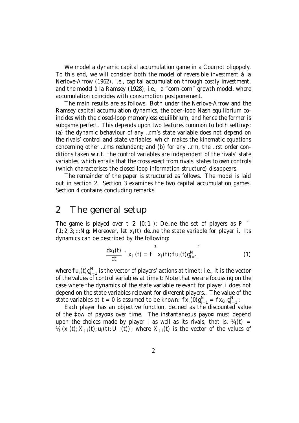We model a dynamic capital accumulation game in a Cournot oligopoly. To this end, we will consider both the model of reversible investment à la Nerlove-Arrow (1962), i.e., capital accumulation through costly investment, and the model à la Ramsey (1928), i.e., a "corn-corn" growth model, where accumulation coincides with consumption postponement.

The main results are as follows. Both under the Nerlove-Arrow and the Ramsey capital accumulation dynamics, the open-loop Nash equilibrium coincides with the closed-loop memoryless equilibrium, and hence the former is subgame perfect. This depends upon two features common to both settings: (a) the dynamic behaviour of any …rm's state variable does not depend on the rivals' control and state variables, which makes the kinematic equations concerning other …rms redundant; and (b) for any …rm, the …rst order conditions taken w.r.t. the control variables are independent of the rivals' state variables, which entails that the cross e¤ect from rivals' states to own controls (which characterises the closed-loop information structure) disappears.

The remainder of the paper is structured as follows. The model is laid out in section 2. Section 3 examines the two capital accumulation games. Section 4 contains concluding remarks.

# 2 The general setup

The game is played over t 2  $[0; 1)$ : De ... ne the set of players as P  $\leq$  $f1; 2; 3; \dots N$ g: Moreover, let  $x_i(t)$  de ... ne the state variable for player i. Its dynamics can be described by the following:

$$
\frac{dx_i(t)}{dt} \hat{x}_i(t) = f x_i(t); fu_i(t)g_{i=1}^N
$$
 (1)

where  $fu_i(t)g_{i}^N$  $\sum_{i=1}^{N}$  is the vector of players' actions at time t; i.e., it is the vector of the values of control variables at time t: Note that we are focussing on the case where the dynamics of the state variable relevant for player i does not depend on the state variables relevant for di¤erent players.. The value of the state variables at t = 0 is assumed to be known:  $f_{X_i}(0)g_{i=1}^N = f_{X_{0,i}}g_{i=1}^N$  $\frac{1}{1}$  = 1  $\frac{1}{1}$ 

Each player has an objective function, de…ned as the discounted value of the ‡ow of payo¤s over time. The instantaneous payo¤ must depend upon the choices made by player i as well as its rivals, that is,  $V_{ij}(t) =$  $\mathcal{U}_{i}$  (x<sub>i</sub>(t);  $X_{i}$ <sub>i</sub>(t);  $U_{i}$ <sub>i</sub>(t)); where  $X_{i}$ <sub>i</sub>(t) is the vector of the values of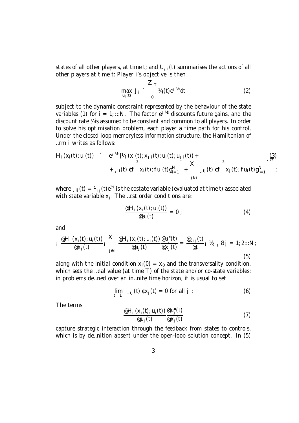states of all other players, at time t; and  $U_{i,i}(t)$  summarises the actions of all other players at time t: Player i's objective is then

$$
\max_{u_i(t)} J_i \sim \frac{Z_T}{v_i} \frac{W_i(t)e^{i\theta t}}{2}
$$
 (2)

subject to the dynamic constraint represented by the behaviour of the state variables (1) for  $i = 1$ ; :::N. The factor  $e^{i \pi i}$  discounts future gains, and the discount rate ½ is assumed to be constant and common to all players. In order to solve his optimisation problem, each player a time path for his control, Under the closed-loop memoryless information structure, the Hamiltonian of …rm i writes as follows:

$$
H_i(x_i(t); u_i(t))
$$
  $\begin{array}{ccc} e^{i \pi t} [x_i(x_i(t); x_{i-1}(t); u_i(t); u_{i-1}(t)) + & 3 \\ 3 & -x & -x \\ + \sin(t) \sqrt{t} F(x_i(t); f u_i(t) g_{i-1}^N + x_{i-1} f(t) \sqrt{t} F(x_i(t); f u_i(t) g_{i-1}^N) \\ 0 & 0 & 0 \end{array}$ 

where  $\Box_{\rm ij}\left({\rm t}\right)\,=\,{}^{_{1}}{}_{\rm ij}\left({\rm t}\right){\rm e}^{{\rm i} t{\rm t}}$  is the costate variable (evaluated at time t) associated with state variable  $x_i$ : The ...rst order conditions are:

$$
\frac{\mathscr{E}H_i\left(x_i(t);u_i(t)\right)}{\mathscr{E}u_i(t)}=0\tag{4}
$$

and

$$
i \frac{\mathscr{Q}H_i(x_i(t); u_i(t))}{\mathscr{Q}x_j(t)} i \sum_{j \in i}^{\infty} \frac{\mathscr{Q}H_i(x_i(t); u_i(t))}{\mathscr{Q}u_j(t)} \frac{\mathscr{Q}u_j^{\pi}(t)}{\mathscr{Q}x_j(t)} = \frac{\mathscr{Q}_{sij}(t)}{\mathscr{Q}t} i \mathscr{V}_{sij} \delta j = 1; 2:::N;
$$
\n(5)

along with the initial condition  $x_i(0) = x_0$  and the transversality condition, which sets the ...nal value (at time T) of the state and/or co-state variables; in problems de…ned over an in…nite time horizon, it is usual to set

$$
\lim_{t \downarrow 1} \lim_{s \downarrow j} (t) \mathfrak{c} x_j(t) = 0 \text{ for all } j: \tag{6}
$$

The terms

$$
\frac{\mathscr{A}_{i}(x_{i}(t); u_{i}(t))}{\mathscr{A}_{i}(t)} \frac{\mathscr{A}_{i}(t)}{\mathscr{A}_{i}(t)} \tag{7}
$$

capture strategic interaction through the feedback from states to controls, which is by de…nition absent under the open-loop solution concept. In (5)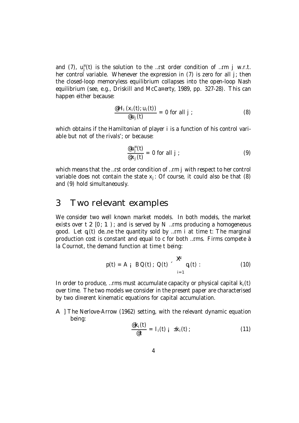and (7),  $u_j^{\pi}(t)$  is the solution to the …rst order condition of …rm j w.r.t. her control variable. Whenever the expression in (7) is zero for all j; then the closed-loop memoryless equilibrium collapses into the open-loop Nash equilibrium (see, e.g., Driskill and McCa¤erty, 1989, pp. 327-28). This can happen either because:

$$
\frac{\mathscr{Q}H_i(x_i(t); u_i(t))}{\mathscr{Q}u_j(t)} = 0 \text{ for all } j ; \qquad (8)
$$

which obtains if the Hamiltonian of player i is a function of his control variable but not of the rivals'; or because:

$$
\frac{\omega_{ij}^{n}(t)}{\omega_{Xj}(t)} = 0 \text{ for all } j \tag{9}
$$

which means that the …rst order condition of …rm j with respect to her control variable does not contain the state  $x_i$ : Of course, it could also be that (8) and (9) hold simultaneously.

## 3 Two relevant examples

We consider two well known market models. In both models, the market exists over  $t \geq 0$ ; 1); and is served by N ... rms producing a homogeneous good. Let  $q_i(t)$  de ... ne the quantity sold by ... rm i at time t: The marginal production cost is constant and equal to c for both …rms. Firms compete à la Cournot, the demand function at time t being:

$$
p(t) = A_i \quad BQ(t); \quad Q(t) \sim \bigotimes_{i=1}^{R} q_i(t)
$$
 : (10)

In order to produce, ... rms must accumulate capacity or physical capital  $k_i(t)$ over time. The two models we consider in the present paper are characterised by two di¤erent kinematic equations for capital accumulation.

A ] The Nerlove-Arrow (1962) setting, with the relevant dynamic equation being:

$$
\frac{\mathscr{E}_{k_i}(t)}{\mathscr{E}_{t}} = I_i(t) \quad i \quad \pm k_i(t) \tag{11}
$$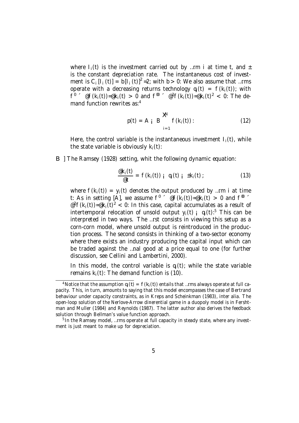where  $I_i(t)$  is the investment carried out by …rm i at time t, and  $\pm$ is the constant depreciation rate. The instantaneous cost of investment is C<sub>i</sub>[l<sub>i</sub>(t)] = b[l<sub>i</sub>(t)]<sup>2</sup> = 2; with b > 0: We also assume that ...rms operate with a decreasing returns technology  $q_i(t) = f(k_i(t))$ ; with  $f^{\theta}$   $\in$   $\mathcal{C}[k_i(t)] = \mathcal{C}[k_i(t)] > 0$  and  $f^{\theta}$   $\in$   $\mathcal{C}^2f(k_i(t)) = \mathcal{C}[k_i(t)]^2 < 0$ : The demand function rewrites as: 4

$$
p(t) = A_i B \bigg|_{i=1}^{\mathbf{X}^d} f(k_i(t)) : \qquad (12)
$$

Here, the control variable is the instantaneous investment  $I_i(t)$ , while the state variable is obviously  $k_i(t)$ :

B ] The Ramsey (1928) setting, whit the following dynamic equation:

$$
\frac{\mathscr{E}_{k_i}(t)}{\mathscr{E}_{t}} = f(k_i(t)) \mathsf{i} \ q_i(t) \mathsf{i} \ \pm k_i(t) \tag{13}
$$

where  $f(k_i(t)) = y_i(t)$  denotes the output produced by ... rm i at time t: As in setting [A], we assume  $f^{\theta}$   $\in$   $\mathcal{C}f(k_i(t)) = \mathcal{C}k_i(t) > 0$  and  $f^{\theta}$ @<sup>2</sup>f(k<sub>i</sub>(t))=@k<sub>i</sub>(t)<sup>2</sup> < 0: In this case, capital accumulates as a result of intertemporal relocation of unsold output  $y_i(t)$  i  $q_i(t)$ :<sup>5</sup> This can be interpreted in two ways. The …rst consists in viewing this setup as a corn-corn model, where unsold output is reintroduced in the production process. The second consists in thinking of a two-sector economy where there exists an industry producing the capital input which can be traded against the …nal good at a price equal to one (for further discussion, see Cellini and Lambertini, 2000).

In this model, the control variable is  $q_i(t)$ ; while the state variable remains  $k_i(t)$ : The demand function is (10).

<sup>&</sup>lt;sup>4</sup> Notice that the assumption  $q_i(t) = f(k_i(t))$  entails that …rms always operate at full capacity. This, in turn, amounts to saying that this model encompasses the case of Bertrand behaviour under capacity constraints, as in Kreps and Scheinkman (1983), inter alia. The open-loop solution of the Nerlove-Arrow di¤erential game in a duopoly model is in Fershtman and Muller (1984) and Reynolds (1987). The latter author also derives the feedback solution through Bellman's value function approach.

<sup>&</sup>lt;sup>5</sup> In the Ramsey model, ...rms operate at full capacity in steady state, where any investment is just meant to make up for depreciation.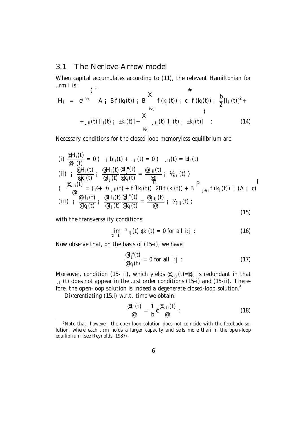### 3.1 The Nerlove-Arrow model

When capital accumulates according to (11), the relevant Hamiltonian for …rm i is:  $\mathbf{z}$  $\mathbf{u}$ 

H<sup>i</sup> = e ¡½t (" A ¡ Bf(ki(t)) ¡ B X i6=j f(k<sup>j</sup> (t)) ¡ c # f(ki(t)) ¡ b 2 [I<sup>i</sup> (t)] 2 + +¸ii(t)[Ii(t) ¡ ±ki(t)] + X i6=j ¸ij (t)[I<sup>j</sup> (t) ¡ ±k<sup>j</sup> (t)] ) : (14)

Necessary conditions for the closed-loop memoryless equilibrium are:

(i) 
$$
\frac{\mathscr{L}H_i(t)}{\mathscr{Q}I_i(t)} = 0
$$
) i  $bl_i(t) + \_i i(t) = 0$ )  $\_i i(t) = bl_i(t)$   
\n(ii) i  $\frac{\mathscr{Q}H_i(t)}{\mathscr{Q}k_i(t)}$  i  $\frac{\mathscr{Q}H_i(t)}{\mathscr{Q}I_j(t)}$  i  $\frac{\mathscr{Q}H_i(t)}{\mathscr{Q}k_i(t)}$  =  $\frac{\mathscr{Q}_{\_i}i(t)}{\mathscr{Q}t}$  i  $\mathscr{V}_{\_i}i(t)$ )  
\n $\frac{\mathscr{Q}_{\_i}i(t)}{\mathscr{Q}t} = (\mathscr{V}_{\_i} + \pm) \_i i(t) + f^0(k_i(t))$  2Bf $(k_i(t)) + B$   
\n(iii) i  $\frac{\mathscr{Q}H_i(t)}{\mathscr{Q}k_i(t)}$  i  $\frac{\mathscr{Q}H_i(t)}{\mathscr{Q}I_j(t)}$   $\frac{\mathscr{Q}_{\_i}i(t)}{\mathscr{Q}k_j(t)}$  =  $\frac{\mathscr{Q}_{\_i}i(t)}{\mathscr{Q}t}$  i  $\mathscr{V}_{\_i}i(t)$  ; (A $i$  c)

with the transversality conditions:

$$
\lim_{t \to 1} \, {}^{1}{}_{ij}(t) \, \mathfrak{e} \, k_{i}(t) = 0 \text{ for all } i; j: \tag{16}
$$

Now observe that, on the basis of (15-i), we have:

$$
\frac{\mathscr{a} \mathsf{I}_{j}^{\mathsf{H}}(t)}{\mathscr{a}_{k_{i}}(t)} = 0 \text{ for all } i; j
$$
 (17)

Moreover, condition (15-iii), which yields  $\mathcal{Q}_{sij}$  (t)= $\mathcal{Q}t$ , is redundant in that  $\mu_{\text{sig}}(t)$  does not appear in the …rst order conditions (15-i) and (15-ii). Therefore, the open-loop solution is indeed a degenerate closed-loop solution. $6$ 

Di¤erentiating (15.i) w.r.t. time we obtain:

$$
\frac{\mathscr{Q}I_{i}(t)}{\mathscr{Q}t}=\frac{1}{b}t\frac{\mathscr{Q}_{s}ii(t)}{\mathscr{Q}t}:\tag{18}
$$

<sup>&</sup>lt;sup>6</sup>Note that, however, the open-loop solution does not coincide with the feedback solution, where each …rm holds a larger capacity and sells more than in the open-loop equilibrium (see Reynolds, 1987).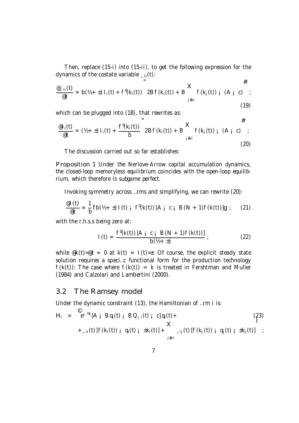Then, replace (15-i) into (15-ii), to get the following expression for the dynamics of the costate variable  $\mu$ ii(t):  $\overline{u}$ 

$$
\frac{e_{s}^{(i)}(t)}{e^{i}} = b (h_{1}^{(i)} + t) I_{i}(t) + f^{(i)}(k_{i}(t)) 2Bf(k_{i}(t)) + B \n\begin{cases} \n\mathbf{X} & \text{if } k_{j}(t) \\ \n\text{if } k_{j}(t) & \text{if } k_{j}(t) \n\end{cases} (A_{i}^{(i)} - t) \tag{19}
$$

which can be plugged into (18), that rewrites as:

$$
\frac{\mathscr{E}I_i(t)}{\mathscr{E}t} = (\frac{1}{2} + \pm) I_i(t) + \frac{f^{\theta}(k_i(t))}{b} 2Bf(k_i(t)) + B \mathbf{X} f(k_j(t)) i (A_i c) ;
$$
\n(20)

 $\overline{\mu}$ 

The discussion carried out so far establishes:

Proposition 1 Under the Nerlove-Arrow capital accumulation dynamics, the closed-loop memoryless equilibrium coincides with the open-loop equilibrium, which therefore is subgame perfect.

Invoking symmetry across …rms and simplifying, we can rewrite (20):

$$
\frac{\text{e1}(t)}{\text{e}t} = \frac{1}{b} \text{fb} \left( \frac{1}{2} + \pm \right) \text{I} \left( t \right) \text{ j} \quad f^{\text{0}}(k(t)) \left[ A_{i} \text{ c}_{i} \text{ B}(N+1) f(k(t)) \right] g \tag{21}
$$

with the r.h.s.s being zero at:

$$
I(t) = \frac{f^{0}(k(t)) [A_{i} c_{i} B(N + 1) f(k(t))]}{b(b + t)} ;
$$
 (22)

while  $\mathcal{R}(t) = \mathcal{Q}(t) = 0$  at  $k(t) = 1(t) = \pm 1$ : Of course, the explicit steady state solution requires a speci…c functional form for the production technology  $f(k(t))$ : The case where  $f(k(t)) = k$  is treated in Fershtman and Muller (1984) and Calzolari and Lambertini (2000).

#### 3.2 The Ramsey model

Under the dynamic constraint (13), the Hamiltonian of …rm i is:

$$
H_{i} = e^{i \frac{kt}{2}} [A_{i} B q_{i}(t)_{i} B Q_{i}(t)_{i} c] q_{i}(t) +
$$
\n
$$
+ \int_{s_{i}i}^{t_{i}} [f(k_{i}(t))_{i} q_{i}(t)_{i} \pm k_{i}(t)] + \sum_{j \in i}^{t_{i}} (t) [f(k_{j}(t))_{i} q_{j}(t)_{i} \pm k_{j}(t)] ;
$$
\n(23)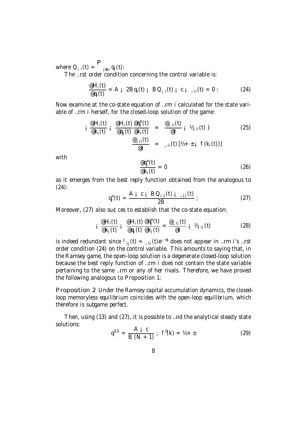where  $Q_{i}$   $_i(t) = \int_{j6i} q_j(t)$ :

The ...rst order condition concerning the control variable is:

$$
\frac{\partial H_i(t)}{\partial q_i(t)} = A_i \ 2Bq_i(t) \ i \ BC_{i} \ i(t) \ i \ c \ i \ 1 \ i(t) = 0:
$$
 (24)

Now examine at the co-state equation of …rm i calculated for the state variable of …rm i herself, for the closed-loop solution of the game:

$$
i \frac{\mathscr{Q}H_i(t)}{\mathscr{Q}k_i(t)} i \frac{\mathscr{Q}H_i(t)}{\mathscr{Q}q_j(t)} \frac{\mathscr{Q}q_j^{\alpha}(t)}{\mathscr{Q}k_i(t)} = \frac{\mathscr{Q}_{\text{si}}(t)}{\mathscr{Q}t} i \mathscr{V}_{\text{si}}(t)
$$
\n
$$
\frac{\mathscr{Q}_{\text{si}}(t)}{\mathscr{Q}t} = \mathscr{Q}_{\text{si}}(t)[\mathscr{V}_{\text{si}} + i \mathscr{Q}(k_i(t))]
$$
\n(25)

with

$$
\frac{\text{eq}_{j}^{n}(t)}{\text{ek}_{i}(t)} = 0 \tag{26}
$$

as it emerges from the best reply function obtained from the analogous to (24):

$$
q_{j}^{n}(t) = \frac{A_{i} c_{i} BQ_{i j}(t) i_{j j}(t)}{2B} ;
$$
 (27)

Moreover, (27) also su¢ces to establish that the co-state equation:

$$
i \frac{\mathscr{Q}H_i(t)}{\mathscr{Q}k_j(t)} i \frac{\mathscr{Q}H_i(t)}{\mathscr{Q}q_j(t)} \frac{\mathscr{Q}q_j^{\pi}(t)}{\mathscr{Q}k_j(t)} = \frac{\mathscr{Q}_{\mathscr{I}}ij(t)}{\mathscr{Q}t} i \mathscr{V}_{\mathscr{I}}ij(t)
$$
 (28)

is indeed redundant since  $1_{ij}(t) = 0.5$ ij (t)ei  $\frac{1}{2}$ t does not appear in ...rm i's ...rst order condition (24) on the control variable. This amounts to saying that, in the Ramsey game, the open-loop solution is a degenerate closed-loop solution because the best reply function of …rm i does not contain the state variable pertaining to the same …rm or any of her rivals. Therefore, we have proved the following analogous to Proposition 1:

Proposition 2 Under the Ramsey capital accumulation dynamics, the closedloop memoryless equilibrium coincides with the open-loop equilibrium, which therefore is subgame perfect.

Then, using (13) and (27), it is possible to …nd the analytical steady state solutions:

$$
q^{SS} = \frac{A i c}{B (N + 1)}; f^0(k) = \frac{1}{2} + \pm
$$
 (29)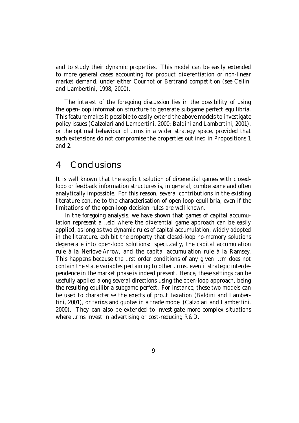and to study their dynamic properties. This model can be easily extended to more general cases accounting for product di¤erentiation or non-linear market demand, under either Cournot or Bertrand competition (see Cellini and Lambertini, 1998, 2000).

The interest of the foregoing discussion lies in the possibility of using the open-loop information structure to generate subgame perfect equilibria. This feature makes it possible to easily extend the above models to investigate policy issues (Calzolari and Lambertini, 2000; Baldini and Lambertini, 2001), or the optimal behaviour of …rms in a wider strategy space, provided that such extensions do not compromise the properties outlined in Propositions 1 and 2.

## 4 Conclusions

It is well known that the explicit solution of di¤erential games with closedloop or feedback information structures is, in general, cumbersome and often analytically impossible. For this reason, several contributions in the existing literature con…ne to the characterisation of open-loop equilibria, even if the limitations of the open-loop decision rules are well known.

In the foregoing analysis, we have shown that games of capital accumulation represent a ...eld where the di¤erential game approach can be easily applied, as long as two dynamic rules of capital accumulation, widely adopted in the literature, exhibit the property that closed-loop no-memory solutions degenerate into open-loop solutions: speci…cally, the capital accumulation rule à la Nerlove-Arrow, and the capital accumulation rule à la Ramsey. This happens because the …rst order conditions of any given …rm does not contain the state variables pertaining to other …rms, even if strategic interdependence in the market phase is indeed present. Hence, these settings can be usefully applied along several directions using the open-loop approach, being the resulting equilibria subgame perfect. For instance, these two models can be used to characterise the e¤ects of pro…t taxation (Baldini and Lambertini, 2001), or tari¤s and quotas in a trade model (Calzolari and Lambertini, 2000). They can also be extended to investigate more complex situations where …rms invest in advertising or cost-reducing R&D.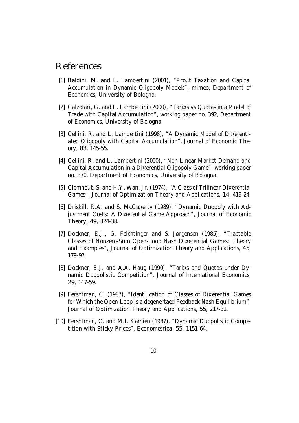# References

- [1] Baldini, M. and L. Lambertini (2001), "Pro...t Taxation and Capital Accumulation in Dynamic Oligopoly Models", mimeo, Department of Economics, University of Bologna.
- [2] Calzolari, G. and L. Lambertini (2000), "Tari¤s vs Quotas in a Model of Trade with Capital Accumulation", working paper no. 392, Department of Economics, University of Bologna.
- [3] Cellini, R. and L. Lambertini (1998), "A Dynamic Model of Di¤erentiated Oligopoly with Capital Accumulation", Journal of Economic Theory, 83, 145-55.
- [4] Cellini, R. and L. Lambertini (2000), "Non-Linear Market Demand and Capital Accumulation in a Di¤erential Oligopoly Game", working paper no. 370, Department of Economics, University of Bologna.
- [5] Clemhout, S. and H.Y. Wan, Jr. (1974), "A Class of Trilinear Di¤erential Games", Journal of Optimization Theory and Applications, 14, 419-24.
- [6] Driskill, R.A. and S. McCa¤erty (1989), "Dynamic Duopoly with Adjustment Costs: A Di¤erential Game Approach", Journal of Economic Theory, 49, 324-38.
- [7] Dockner, E.J., G. Feichtinger and S. Jørgensen (1985), "Tractable Classes of Nonzero-Sum Open-Loop Nash Di¤erential Games: Theory and Examples", Journal of Optimization Theory and Applications, 45, 179-97.
- [8] Dockner, E.J. and A.A. Haug (1990), "Tari¤s and Quotas under Dynamic Duopolistic Competition", Journal of International Economics, 29, 147-59.
- [9] Fershtman, C. (1987), "Identi…cation of Classes of Di¤erential Games for Which the Open-Loop is a degenertaed Feedback Nash Equilibrium", Journal of Optimization Theory and Applications, 55, 217-31.
- [10] Fershtman, C. and M.I. Kamien (1987), "Dynamic Duopolistic Competition with Sticky Prices", Econometrica, 55, 1151-64.